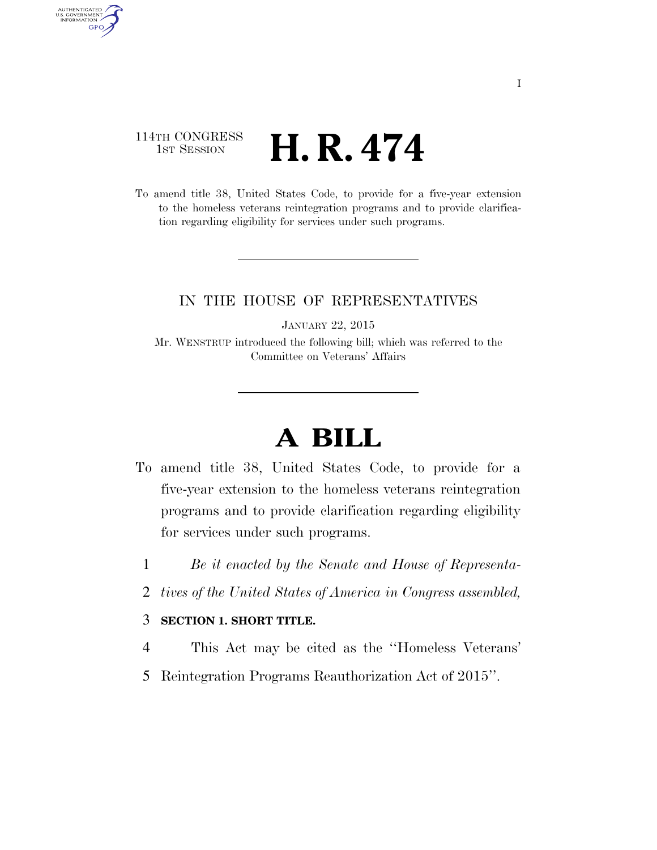## 114TH CONGRESS  $\frac{1}{1}$ ST SESSION **H. R. 474**

AUTHENTICATED<br>U.S. GOVERNMENT<br>INFORMATION

**GPO** 

To amend title 38, United States Code, to provide for a five-year extension to the homeless veterans reintegration programs and to provide clarification regarding eligibility for services under such programs.

## IN THE HOUSE OF REPRESENTATIVES

JANUARY 22, 2015

Mr. WENSTRUP introduced the following bill; which was referred to the Committee on Veterans' Affairs

## **A BILL**

- To amend title 38, United States Code, to provide for a five-year extension to the homeless veterans reintegration programs and to provide clarification regarding eligibility for services under such programs.
	- 1 *Be it enacted by the Senate and House of Representa-*
	- 2 *tives of the United States of America in Congress assembled,*

## 3 **SECTION 1. SHORT TITLE.**

- 4 This Act may be cited as the ''Homeless Veterans'
- 5 Reintegration Programs Reauthorization Act of 2015''.